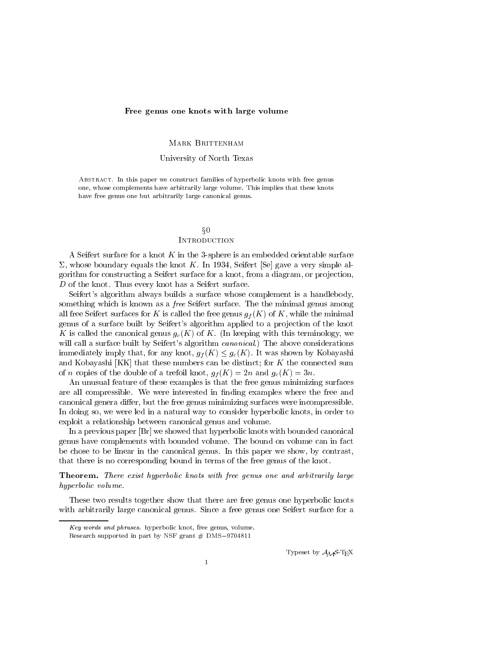#### Free genus one knots with large volume

#### MARK BRITTENHAM

### University of North Texas

ABSTRACT. In this paper we construct families of hyperbolic knots with free genus one, whose complements have arbitrarily large volume. This implies that these knots have free genus one but arbitrarily large canonical genus.

# $\S0$ **INTRODUCTION**

A Seifert surface for a knot  $K$  in the 3-sphere is an embedded orientable surface  $\Sigma$ , whose boundary equals the knot K. In 1934, Seifert [Se] gave a very simple algorithm for constructing a Seifert surface for a knot, from a diagram, or projection,  $D$  of the knot. Thus every knot has a Seifert surface.

Seifert's algorithm always builds a surface whose complement is a handlebody, something which is known as a *free* Seifert surface. The the minimal genus among all free Seifert surfaces for K is called the free genus  $q_f(K)$  of K, while the minimal genus of a surface built by Seifert's algorithm applied to a projection of the knot K is called the canonical genus  $g_c(K)$  of K. (In keeping with this terminology, we will call a surface built by Seifert's algorithm *canonical*.) The above considerations immediately imply that, for any knot,  $g_f(K) \leq g_c(K)$ . It was shown by Kobayashi and Kobayashi  $[KK]$  that these numbers can be distinct; for K the connected sum of *n* copies of the double of a trefoil knot,  $g_f(K)=2n$  and  $g_c(K)=3n$ .

An unusual feature of these examples is that the free genus minimizing surfaces are all compressible. We were interested in finding examples where the free and canonical genera differ, but the free genus minimizing surfaces were incompressible. In doing so, we were led in a natural way to consider hyperbolic knots, in order to exploit a relationship between canonical genus and volume.

In a previous paper [Br] we showed that hyperbolic knots with bounded canonical genus have complements with bounded volume. The bound on volume can in fact be chose to be linear in the canonical genus. In this paper we show, by contrast, that there is no corresponding bound in terms of the free genus of the knot.

Theorem. There exist hyperbolic knots with free genus one and arbitrarily large hyperbolic volume.

These two results together show that there are free genus one hyperbolic knots with arbitrarily large canonical genus. Since a free genus one Seifert surface for a

Typeset by  $\mathcal{A}_{\mathcal{M}}\mathcal{S}\text{-}\mathrm{Tr}\mathrm{X}$ 

Key words and phrases. hyperbolic knot, free genus, volume. Research supported in part by NSF grant  $#$  DMS-9704811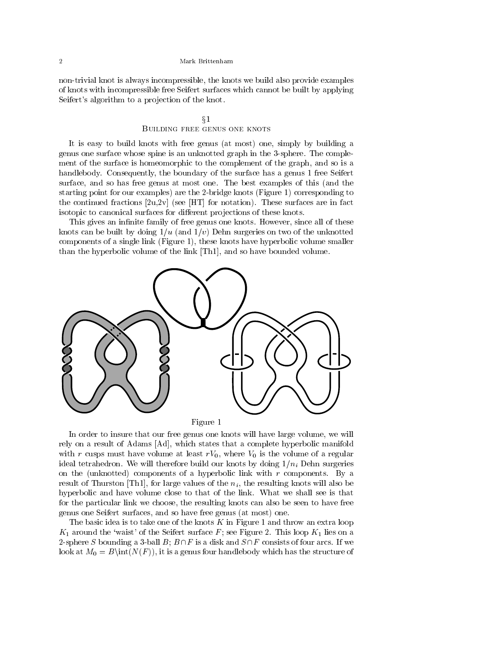non-trivial knot is always incompressible, the knots we build also provide examples of knots with incompressible free Seifert surfaces which cannot be built by applying Seifert's algorithm to a projection of the knot.

## $\S1$ Building free genus one knots

It is easy to build knots with free genus (at most) one, simply by building a genus one surface whose spine is an unknotted graph in the 3-sphere. The complement of the surface is homeomorphic to the complement of the graph, and so is a handlebody. Consequently, the boundary of the surface has a genus 1 free Seifert surface, and so has free genus at most one. The best examples of this (and the starting point for our examples) are the 2-bridge knots (Figure 1) corresponding to the continued fractions  $[2u,2v]$  (see [HT] for notation). These surfaces are in fact isotopic to canonical surfaces for different projections of these knots.

This gives an infinite family of free genus one knots. However, since all of these knots can be built by doing  $1/u$  (and  $1/v$ ) Dehn surgeries on two of the unknotted components of a single link (Figure 1), these knots have hyperbolic volume smaller than the hyperbolic volume of the link [Th1], and so have bounded volume.





In order to insure that our free genus one knots will have large volume, we will rely on a result of Adams [Ad], which states that a complete hyperbolic manifold with r cusps must have volume at least  $rV_0$ , where  $V_0$  is the volume of a regular ideal tetrahedron. We will therefore build our knots by doing  $1/n<sub>i</sub>$  Dehn surgeries on the (unknotted) components of a hyperbolic link with  $r$  components. By a result of Thurston [Th1], for large values of the  $n_i$ , the resulting knots will also be hyperbolic and have volume close to that of the link. What we shall see is that for the particular link we choose, the resulting knots can also be seen to have free genus one Seifert surfaces, and so have free genus (at most) one.

The basic idea is to take one of the knots  $K$  in Figure 1 and throw an extra loop  $K_1$  around the 'waist' of the Seifert surface F; see Figure 2. This loop  $K_1$  lies on a 2-sphere S bounding a 3-ball  $B$ ;  $B \cap F$  is a disk and  $S \cap F$  consists of four arcs. If we look at  $M_0 = B\int(N(F))$ , it is a genus four handlebody which has the structure of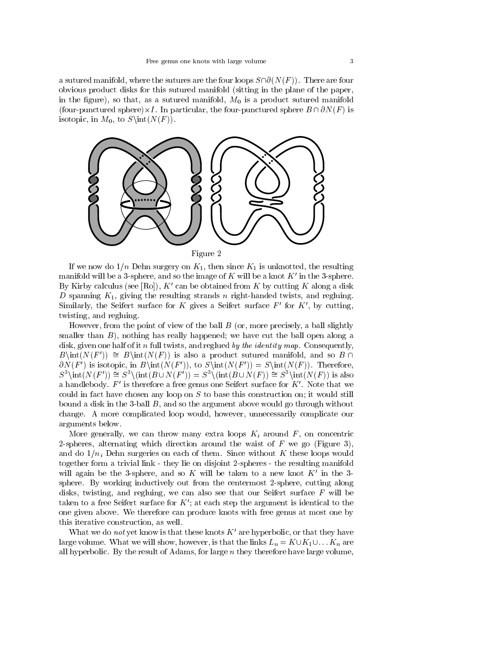a sutured manifold, where the sutures are the four loops  $S\cap \partial (N(F))$ . There are four obvious product disks for this sutured manifold (sitting in the plane of the paper, in the figure), so that, as a sutured manifold,  $M_0$  is a product sutured manifold (four-punctured sphere) $\times I$ . In particular, the four-punctured sphere  $B \sqcup \mathcal{O}N(F)$  is isotopic, in  $M_0$ , to  $S\int (N(F))$ .



If we now do  $1/n$  Dehn surgery on  $K_1$ , then since  $K_1$  is unknotted, the resulting manifold will be a 3-sphere, and so the image of  $K$  will be a knot  $K'$  in the 3-sphere. By Kirby calculus (see [Ro]),  $K'$  can be obtained from K by cutting K along a disk D spanning  $K_1$ , giving the resulting strands n right-handed twists, and regluing. Similarly, the Seifert surface for K gives a Seifert surface  $F'$  for  $K'$ , by cutting, twisting, and regluing.

However, from the point of view of the ball  $B$  (or, more precisely, a ball slightly smaller than  $B$ ), nothing has really happened; we have cut the ball open along a disk, given one half of it n full twists, and reglued by the *identity* map. Consequently,  $B\int(N(F')) \cong B\int(N(F))$  is also a product sutured manifold, and so B  $\cap$  $\partial N(F')$  is isotopic, in  $B\in(N(F'))$ , to  $S\in(N(F')) = S\in(N(F))$ . Therefore,  $S^3\int (N(F')) \cong S^3\int (B\cup N(F')) = S^3\int (B\cup N(F)) \cong S^3\int (N(F'))$  is also a handlebody.  $F'$  is therefore a free genus one Seifert surface for  $K'$ . Note that we could in fact have chosen any loop on  $S$  to base this construction on; it would still bound a disk in the 3-ball  $B$ , and so the argument above would go through without change. A more complicated loop would, however, unnecessarily complicate our arguments below.

More generally, we can throw many extra loops  $K_i$  around  $F$ , on concentric 2-spheres, alternating which direction around the waist of  $F$  we go (Figure 3), and do  $1/n_i$  Dehn surgeries on each of them. Since without K these loops would together form a trivial link - they lie on disjoint 2-spheres - the resulting manifold will again be the 3-sphere, and so K will be taken to a new knot  $K'$  in the 3sphere. By working inductively out from the centermost 2-sphere, cutting along disks, twisting, and regluing, we can also see that our Seifert surface  $F$  will be taken to a free Seifert surface for  $K'$ ; at each step the argument is identical to the one given above. We therefore can produce knots with free genus at most one by this iterative construction, as well.

What we do *not* yet know is that these knots  $K'$  are hyperbolic, or that they have large volume. What we will show, however, is that the links  $L_n = K \cup K_1 \cup \dots K_n$  are all hyperbolic. By the result of Adams, for large  $n$  they therefore have large volume,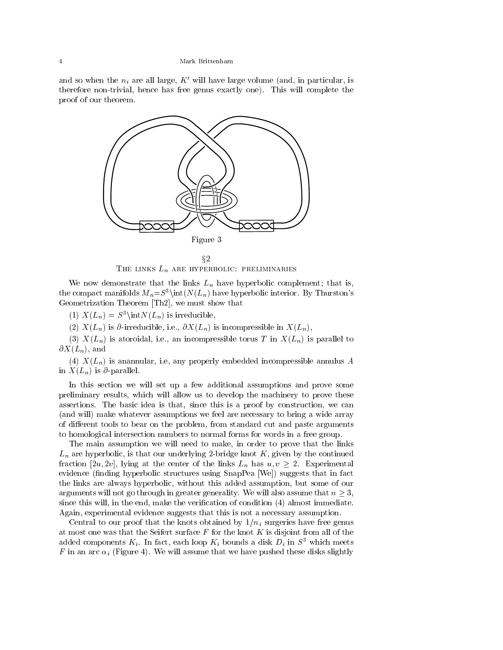and so when the  $n_i$  are all large,  $K'$  will have large volume (and, in particular, is therefore non-trivial, hence has free genus exactly one). This will complete the proof of our theorem.



THE LINKS  $L_n$  are hyperbolic: preliminaries

We now demonstrate that the links  $L_n$  have hyperbolic complement; that is, the compact manifolds  $M_n = S^3\int(N(L_n))$  have hyperbolic interior. By Thurston's Geometrization Theorem [Th2], we must show that

(1)  $X(L_n) = S^3 \in N(L_n)$  is irreducible,

(2)  $X(L_n)$  is  $\partial$ -irreducible, i.e.,  $\partial X(L_n)$  is incompressible in  $X(L_n)$ ,

(3)  $X(L_n)$  is atoroidal, i.e., an incompressible torus T in  $X(L_n)$  is parallel to  $\partial X(L_n)$ , and

(4)  $X(L_n)$  is anannular, i.e, any properly embedded incompressible annulus A in  $X(L_n)$  is  $\partial$ -parallel.

In this section we will set up a few additional assumptions and prove some preliminary results, which willallow us to develop the machinery to prove these assertions. The basic idea is that, since this is a proof by construction, we can (and will) make whatever assumptions we feel are necessary to bring a wide array of different tools to bear on the problem, from standard cut and paste arguments to homological intersection numbers to normal forms for words in a free group.

The main assumption we will need to make, in order to prove that the links  $L_n$  are hyperbolic, is that our underlying 2-bridge knot  $K$ , given by the continued fraction [2u, 2v], lying at the center of the links  $L_n$  has  $u, v \geq 2$ . Experimental evidence (finding hyperbolic structures using SnapPea [We]) suggests that in fact the links are always hyperbolic, without this added assumption, but some of our arguments will not go through in greater generality. We will also assume that  $n > 3$ , since this will, in the end, make the verification of condition  $(4)$  almost immediate. Again, experimental evidence suggests that this is not a necessary assumption.

Central to our proof that the knots obtained by  $1/n_i$  surgeries have free genus at most one was that the Seifert surface  $F$  for the knot  $K$  is disjoint from all of the added components  $K_i$ . In fact, each loop  $K_i$  bounds a disk  $D_i$  in  $S^3$  which meets F in an arc  $\alpha_i$  (Figure 4). We will assume that we have pushed these disks slightly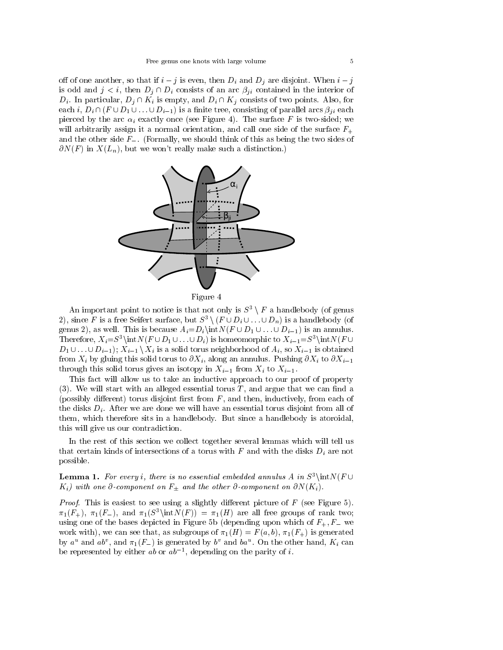off of one another, so that if  $i - j$  is even, then  $D_i$  and  $D_j$  are disjoint. When  $i - j$ is odd and  $j < i$ , then  $D_j \cap D_i$  consists of an arc  $\beta_{ji}$  contained in the interior of  $D_i$ . In particular,  $D_j \cap K_i$  is empty, and  $D_i \cap K_j$  consists of two points. Also, for each i,  $D_i \cap (F \cup D_1 \cup \ldots \cup D_{i-1})$  is a finite tree, consisting of parallel arcs  $\beta_{ii}$  each pierced by the arc  $\alpha_i$  exactly once (see Figure 4). The surface F is two-sided; we will arbitrarily assign it a normal orientation, and call one side of the surface  $F_{+}$ and the other side  $F_{-}$ . (Formally, we should think of this as being the two sides of  $\partial N(F)$  in  $X(L_n)$ , but we won't really make such a distinction.)





An important point to notice is that not only is  $S^3 \setminus F$  a handlebody (of genus 2), since F is a free Seifert surface, but  $S^3 \setminus (F \cup D_i \cup ... \cup D_n)$  is a handlebody (of genus 2), as well. This is because  $A_i = D_i \int \int F \cup D_1 \cup ... \cup D_{i-1}$  is an annulus. Therefore,  $X_i=S^3\in N(F\cup D_1 \cup ... \cup D_i)$  is homeomorphic to  $X_{i-1}=S^3\in N(F\cup D_1 \cup ... \cup D_i)$  $D_1 \cup \ldots \cup D_{i-1}$ ;  $X_{i-1} \setminus X_i$  is a solid torus neighborhood of  $A_i$ , so  $X_{i-1}$  is obtained from  $X_i$  by gluing this solid torus to  $\partial X_i$ , along an annulus. Pushing  $\partial X_i$  to  $\partial X_{i-1}$ through this solid torus gives an isotopy in  $X_{i-1}$  from  $X_i$  to  $X_{i-1}$ .

This fact will allow us to take an inductive approach to our proof of property (3). We will start with an alleged essential torus  $T$ , and argue that we can find a (possibly different) torus disjoint first from  $F$ , and then, inductively, from each of the disks  $D_i$ . After we are done we will have an essential torus disjoint from all of them, which therefore sits in a handlebody. But since a handlebody is atoroidal, this will give us our contradiction.

In the rest of this section we collect together several lemmas which will tell us that certain kinds of intersections of a torus with  $F$  and with the disks  $D_i$  are not possible.

**Lemma 1.** For every i, there is no essential embedded annulus A in  $S^3\int$  Int $N(F \cup$  $K_i$ ) with one  $\partial$ -component on  $F_{\pm}$  and the other  $\partial$ -component on  $\partial N(K_i)$ .

Proof. This is easiest to see using a slightly dierent picture of F (see Figure 5).  $\pi_1(F_+), \pi_1(F_-),$  and  $\pi_1(S^3\in K)(F) = \pi_1(H)$  are all free groups of rank two; using one of the bases depicted in Figure 5b (depending upon which of  $F_+, F_-$  we work with), we can see that, as subgroups of  $\pi_1(H) = F(a, b)$ ,  $\pi_1(F_+)$  is generated by a and ab), and  $\pi_1(r_-)$  is generated by b and ba. On the other hand,  $K_i$  can be represented by either *ab* or  $av_1$ , depending on the parity of  $i$ .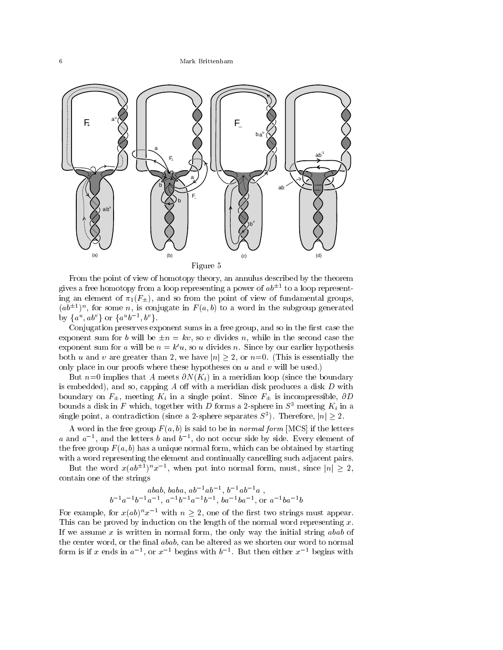Mark Brittenham



From the point of view of homotopy theory, an annulus described by the theorem gives a free homotopy from a loop representing a power of  $a\bar{v}^{\perp}$  to a loop representing an element of  $\pi_1(F_{\pm}),$  and so from the point of view of fundamental groups,  $(a\theta^{\pm})^{\alpha}$ , for some n, is conjugate in F  $(a, \theta)$  to a word in the subgroup generated by  $\{a^{\omega}, a\overline{b^{\omega}}\}$  or  $\{a^{\omega}b^{-1}, b^{\omega}\}$ .

Conjugation preserves exponent sums in a free group, and so in the first case the exponent sum for b will be  $\pm n = kv$ , so v divides n, while in the second case the exponent sum for a will be  $n = \kappa \, u$ , so a divides n. Since by our earlier hypothesis exponent sum for b will be  $\pm n = kv$ , so v divides n, while in the second case the exponent sum for a will be  $n = k'u$ , so u divides n. Since by our earlier hypothesis both u and v are greater than 2, we have  $|n| > 2$ , or  $n=$ only place in our proofs where these hypotheses on  $u$  and  $v$  will be used.)

But  $n=0$  implies that A meets  $\partial N(K_i)$  in a meridian loop (since the boundary is embedded), and so, capping  $A$  off with a meridian disk produces a disk  $D$  with boundary on  $F_{\pm}$ , meeting  $K_i$  in a single point. Since  $F_{\pm}$  is incompressible,  $\partial D$ bounds a disk in F which, together with D forms a 2-sphere in  $S^1$  meeting  $K_i$  in a single point, a contradiction (since a 2-sphere separates  $S^3$ ). Therefore,  $|n| \geq 2$ . <sup>t</sup> is incompressible,  $\partial D$ <br>
(e in  $S^3$  meeting  $K_i$  in a<br>
(e in  $S^3$  meeting  $K_i$  in a

A word in the free group  $F(a, b)$  is said to be in normal form [MCS] if the letters a and  $a^{-1}$ , and the letters  $b$  and  $b^{-1}$ , do not occur side by side. Every element of the free group  $F(a, b)$  has a unique normal form, which can be obtained by starting with a word representing the element and continually cancelling such adjacent pairs.

But the word  $x(a\theta^{\pm\gamma})^\gamma x^{-\gamma}$ , when put into normal form, must, since  $|n|\geq 2,$ contain one of the strings

$$
abab, baba, ab^{-1}ab^{-1}, b^{-1}ab^{-1}a ,b^{-1}a^{-1}b^{-1}a^{-1}, a^{-1}b^{-1}a^{-1}b^{-1}, ba^{-1}ba^{-1}, \text{ or } a^{-1}ba^{-1}b
$$

For example, for  $x(ab)^nx^{-1}$  with  $n \geq 2$ , one of the first two strings must appear. This can be proved by induction on the length of the normal word representing  $x$ . If we assume  $x$  is written in normal form, the only way the initial string  $abab$  of the center word, or the final abab, can be altered as we shorten our word to normal form is if x ends in  $a_{-}$ , or  $x_{-}$  begins with  $b_{-}$ . But then either  $x_{-}$  begins with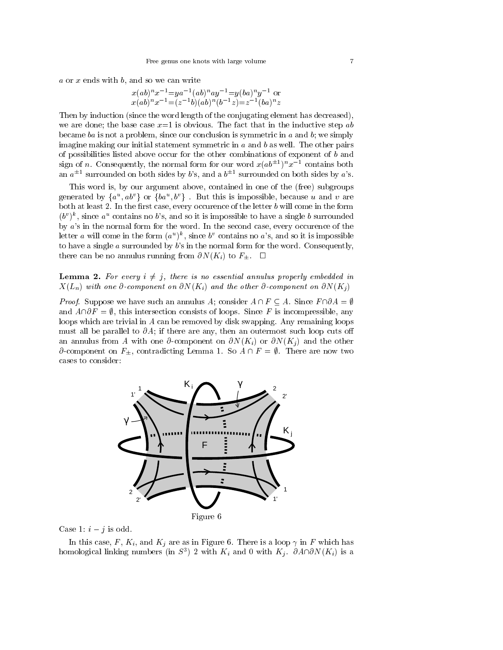$a$  or  $x$  ends with  $b$ , and so we can write

$$
x(ab)^n x^{-1} = ya^{-1}(ab)^n ay^{-1} = y(ba)^n y^{-1}
$$
 or  

$$
x(ab)^n x^{-1} = (z^{-1}b)(ab)^n (b^{-1}z) = z^{-1}(ba)^n z
$$

Then by induction (since the word length of the conjugating element has decreased), we are done; the base case  $x=1$  is obvious. The fact that in the inductive step ab became ba is not a problem, since our conclusion is symmetric in  $a$  and  $b$ ; we simply imagine making our initial statement symmetric in  $a$  and  $b$  as well. The other pairs of possibilities listed above occur for the other combinations of exponent of b and sign of n. Consequently, the normal form for our word  $x(a\theta^{\pm})^{\pm}x^{-1}$  contains both an  $a^{\pm 1}$  surrounded on both sides by b's, and a  $b^{\pm 1}$  surrounded on both sides by a's.

This word is, by our argument above, contained in one of the (free) subgroups generated by  $\{a^*, a v^*\}$  or  $\{ba^*, b^*\}$ . But this is impossible, because u and v are both at least 2. In the first case, every occurence of the letter  $b$  will come in the form  $(b^v)^k$ , since  $a^u$  contains no b's, and so it is impossible to have a single b surrounded by a's in the normal form for the word. In the second case, every occurence of the letter a will come in the form  $(a^u)^k$ , since  $b^v$  contains no a's, and so it is impossible to have a single  $a$  surrounded by  $b$ 's in the normal form for the word. Consequently, there can be no annulus running from  $\partial N(K_i)$  to  $F_{\pm}$ .  $\Box$ 

## **Lemma 2.** For every  $i \neq j$ , there is no essential annulus properly embedded in  $X(L_n)$  with one  $\partial$ -component on  $\partial N(K_i)$  and the other  $\partial$ -component on  $\partial N(K_i)$

Proof. Suppose we have such an annulus A; consider  $A \cap F \subseteq A$ . Since  $F \cap \overline{O}A = \emptyset$ and  $A\cap\partial F = \emptyset$ , this intersection consists of loops. Since F is incompressible, any loops which are trivial in A can be removed by disk swapping. Any remaining loops must all be parallel to  $\partial A$ ; if there are any, then an outermost such loop cuts off an annulus from A with one  $\partial$ -component on  $\partial N(K_i)$  or  $\partial N(K_j)$  and the other  $\partial$ -component on  $F_{\pm}$ , contradicting Lemma 1. So  $A \cap F = \emptyset$ . There are now two cases to consider:



Case 1:  $i - j$  is odd.

In this case, F,  $K_i$ , and  $K_j$  are as in Figure 6. There is a loop  $\gamma$  in F which has homological linking numbers (in  $S^{\pm}$ ) 2 with  $K_i$  and 0 with  $K_j$ .  $\partial A\|\partial N(K_i)$  is a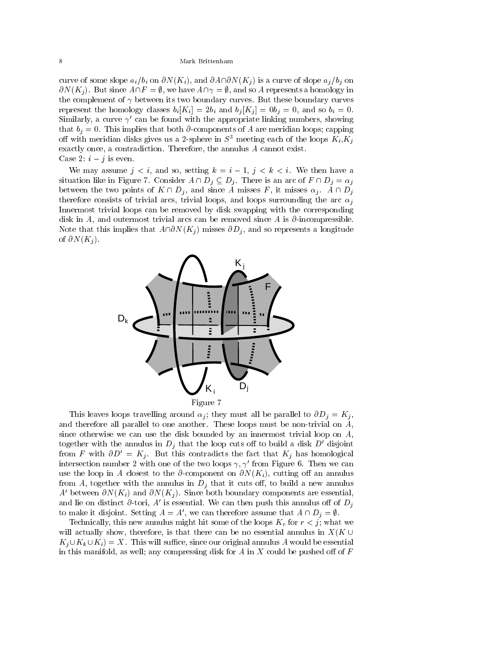curve of some slope  $a_i/b_i$  on  $\partial N(K_i)$ , and  $\partial A \cap \partial N(K_j)$  is a curve of slope  $a_j/b_j$  on  $\partial N(K_i)$ . But since  $A\cap F = \emptyset$ , we have  $A\cap \gamma = \emptyset$ , and so A represents a homology in the complement of  $\gamma$  between its two boundary curves. But these boundary curves represent the homology classes  $b_i [K_i] = 2b_i$  and  $b_j [K_j] = 0b_j = 0$ , and so  $b_i = 0$ . Similarly, a curve  $\gamma'$  can be found with the appropriate linking numbers, showing that  $b_j = 0$ . This implies that both  $\partial$ -components of A are meridian loops; capping off with meridian disks gives us a 2-sphere in  $S^3$  meeting each of the loops  $K_i, K_j$ exactly once, a contradiction. Therefore, the annulus A cannot exist. Case 2:  $i - j$  is even.

We may assume  $j < i$ , and so, setting  $k = i - 1$ ,  $j < k < i$ . We then have a situation like in Figure 7. Consider  $A \cap D_j \subseteq D_j$ . There is an arc of  $F \cap D_j = \alpha_j$ between the two points of  $K \cap D_j$ , and since A misses F, it misses  $\alpha_j$ .  $A \cap D_j$ therefore consists of trivial arcs, trivial loops, and loops surrounding the arc  $\alpha_i$ Innermost trivial loops can be removed by disk swapping with the corresponding disk in A, and outermost trivial arcs can be removed since A is  $\partial$ -incompressible. Note that this implies that  $A\cap\partial N(K_j )$  misses  $\partial D_j$ , and so represents a longitude of  $\partial N(K_i)$ .



This leaves loops travelling around  $\alpha_j$ ; they must all be parallel to  $\partial D_j = K_j$ , and therefore all parallel to one another. These loops must be non-trivial on A, since otherwise we can use the disk bounded by an innermost trivial loop on  $A$ , together with the annulus in  $D_j$  that the loop cuts off to build a disk  $D'$  disjoint from F with  $\partial D' = K_j$ . But this contradicts the fact that  $K_j$  has homological intersection number 2 with one of the two loops  $\gamma$ ,  $\gamma'$  from Figure 6. Then we can use the loop in A closest to the  $\partial$ -component on  $\partial N(K_i)$ , cutting off an annulus from A, together with the annulus in  $D_i$  that it cuts off, to build a new annulus A' between  $\partial N(K_i)$  and  $\partial N(K_j)$ . Since both boundary components are essential, and lie on distinct  $\partial$ -tori, A' is essential. We can then push this annulus off of  $D_i$ to make it disjoint. Setting  $A = A'$ , we can therefore assume that  $A \cap D_i = \emptyset$ .

Technically, this new annulus might hit some of the loops  $K_r$  for  $r < j$ ; what we will actually show, therefore, is that there can be no essential annulus in  $X(K \cup$  $K_i \cup K_k \cup K_i$  = X. This will suffice, since our original annulus A would be essential in this manifold, as well; any compressing disk for A in X could be pushed off of  $F$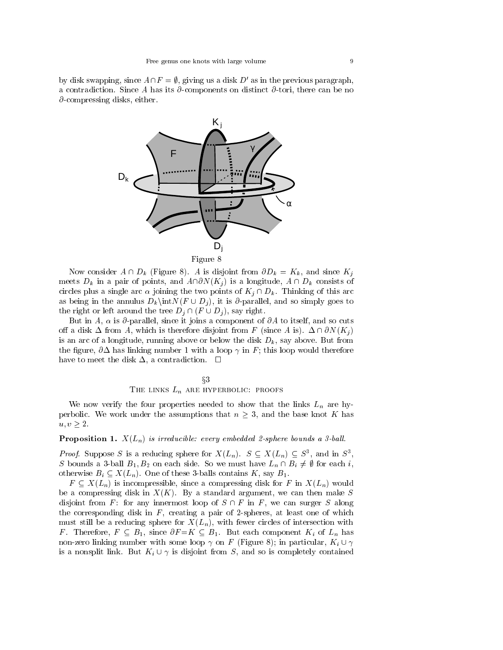by disk swapping, since  $A\cap F = \emptyset$ , giving us a disk D' as in the previous paragraph, a contradiction. Since A has its  $\partial$ -components on distinct  $\partial$ -tori, there can be no  $\partial$ -compressing disks, either.



Now consider  $A \cap D_k$  (Figure 8). A is disjoint from  $\partial D_k = K_k$ , and since  $K_j$ meets  $D_k$  in a pair of points, and  $A \cap \partial N(K_j)$  is a longitude,  $A \cap D_k$  consists of circles plus a single arc  $\alpha$  joining the two points of  $K_i \cap D_k$ . Thinking of this arc as being in the annulus  $D_k\int N(F \cup D_j)$ , it is  $\partial$ -parallel, and so simply goes to the right or left around the tree  $D_i \cap (F \cup D_i)$ , say right.

But in A,  $\alpha$  is  $\partial$ -parallel, since it joins a component of  $\partial A$  to itself, and so cuts off a disk  $\Delta$  from A, which is therefore disjoint from F (since A is).  $\Delta \cap \partial N(K_i)$ is an arc of a longitude, running above or below the disk  $D_k$ , say above. But from the figure,  $\partial \Delta$  has linking number 1 with a loop  $\gamma$  in F; this loop would therefore have to meet the disk  $\Delta$ , a contradiction.  $\square$ 

$$
\S 3
$$
 **THE LINKS**  $L_n$  **ARE HYPERBOLIC: PROOFS**

We now verify the four properties needed to show that the links  $L_n$  are hyperbolic. We work under the assumptions that  $n \geq 3$ , and the base knot K has  $u, v \geq 2$ .

#### **Proposition 1.**  $X(L_n)$  is irreducible: every embedded 2-sphere bounds a 3-ball.

*Proof.* Suppose S is a reducing sphere for  $X(L_n)$ .  $S \subseteq X(L_n) \subseteq S^2$ , and in S<sup>3</sup>, , and the contract of the contract of the contract of the contract of the contract of the contract of the contract of the contract of the contract of the contract of the contract of the contract of the contract of the con S bounds a 3-ball  $B_1, B_2$  on each side. So we must have  $L_n \cap B_i \neq \emptyset$  for each i, otherwise  $B_i \subseteq X(L_n)$ . One of these 3-balls contains K, say  $B_1$ .<br>F  $\subseteq X(L_n)$  is incompressible, since a compressing disk for F in  $X(L_n)$  would

be a compressing disk in  $X(K)$ . By a standard argument, we can then make S disjoint from F: for any innermost loop of  $S \cap F$  in F, we can surger S along the corresponding disk in  $F$ , creating a pair of 2-spheres, at least one of which must still be a reducing sphere for  $X(L_n)$ , with fewer circles of intersection with F. Therefore,  $F \subseteq B_1$ , since  $\partial F = K \subseteq B_1$ . But each component  $K_i$  of  $L_n$  has non-zero linking number with some loop  $\gamma$  on F (Figure 8); in particular,  $K_i \cup \gamma$ is a nonsplit link. But  $K_i \cup \gamma$  is disjoint from S, and so is completely contained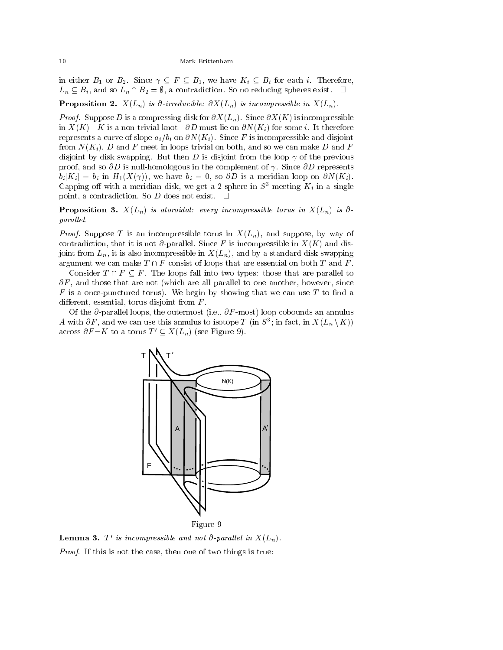in either  $B_1$  or  $B_2$ . Since  $\gamma \subseteq F \subseteq B_1$ , we have  $K_i \subseteq B_i$  for each i. Therefore,  $L_n \subseteq B_i$ , and so  $L_n \cap B_2 = \emptyset$ , a contradiction. So no reducing spheres exist.  $\Box$ 

**Proposition 2.**  $X(L_n)$  is  $\partial$ -irreducible:  $\partial X(L_n)$  is incompressible in  $X(L_n)$ .

Proof. Suppose D is a compression  $\Omega$  is income  $\alpha = \lambda - \mu$  , since  $\alpha = \lambda - \mu$  is incompression of in  $X(K)$  - K is a non-trivial knot -  $\partial D$  must lie on  $\partial N(K_i)$  for some i. It therefore represents a curve of slope  $a_i/b_i$  on  $\partial N(K_i)$ . Since F is incompressible and disjoint from  $N(K_i)$ , D and F meet in loops trivial on both, and so we can make D and F disjoint by disk swapping. But then D is disjoint from the loop  $\gamma$  of the previous proof, and so  $\partial D$  is null-homologous in the complement of  $\gamma$ . Since  $\partial D$  represents  $b_i[K_i] = b_i$  in  $H_1(X(\gamma))$ , we have  $b_i = 0$ , so  $\partial D$  is a meridian loop on  $\partial N(K_i)$ . Capping off with a meridian disk, we get a 2-sphere in  $S^3$  meeting  $K_i$  in a single point, a contradiction. So  $D$  does not exist.  $\quad \Box$ 

**Proposition 3.**  $X(L_n)$  is atoroidal: every incompressible torus in  $X(L_n)$  is  $\partial$ parallel.

 $P$ riof. Suppose T is an incompressible torus in  $P$  if  $\{Ln\}$  and suppose  $\{Ln\}$ contradiction, that it is not  $\partial$ -parallel. Since F is incompressible in  $X(K)$  and disjoint from  $L_n$ , it is also incompressible in  $X(L_n)$ , and by a standard disk swapping argument we can make  $T \cap F$  consist of loops that are essential on both T and F.

Consider  $T \cap F \subseteq F$ . The loops fall into two types: those that are parallel to  $\partial F$ , and those that are not (which are all parallel to one another, however, since  $F$  is a once-punctured torus). We begin by showing that we can use  $T$  to find a different, essential, torus disjoint from  $F$ .

Of the  $\partial$ -parallel loops, the outermost (i.e.,  $\partial F$ -most) loop cobounds an annulus A with  $\partial F$ , and we can use this annulus to isotope T (in  $S^{\pm}$ ; in fact, in  $X(L_n \setminus K)$ ) across  $\partial F = K$  to a torus  $T' \subset X(L_n)$  (see Figure 9).



**Lemma 3.**  $T'$  is incompressible and not  $\partial$ -parallel in  $X(L_n)$ . Proof. If this is not the case, then one of two things is true: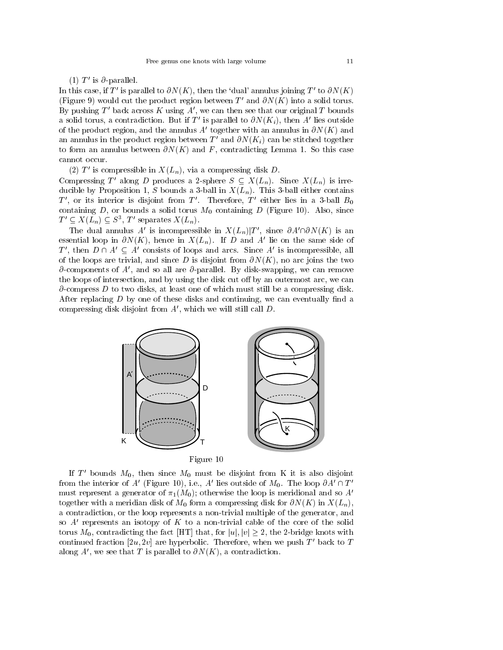(1)  $T'$  is  $\partial$ -parallel.

In this case, if T' is parallel to  $\partial N(K)$ , then the 'dual' annulus joining T' to  $\partial N(K)$ (Figure 9) would cut the product region between T' and  $\partial N(K)$  into a solid torus. By pushing  $T'$  back across K using A', we can then see that our original T bounds a solid torus, a contradiction. But if T' is parallel to  $\partial N(K_i)$ , then A' lies outside of the product region, and the annulus A' together with an annulus in  $\partial N(K)$  and an annulus in the product region between  $T'$  and  $\partial N(K_i)$  can be stitched together to form an annulus between  $\partial N(K)$  and F, contradicting Lemma 1. So this case cannot occur.

(2) T' is compressible in  $X(L_n)$ , via a compressing disk D.

Compressing T' along D produces a 2-sphere  $S \subseteq X(L_n)$ . Since  $X(L_n)$  is irreducible by Proposition 1, S bounds a 3-ball in  $X(L_n)$ . This 3-ball either contains  $T'$ , or its interior is disjoint from  $T'$ . Therefore,  $T'$  either lies in a 3-ball  $B_0$ containing D, or bounds a solid torus  $M_0$  containing D (Figure 10). Also, since  $I \subseteq \Lambda(L_n) \subseteq S^{\dagger}$ , I separates  $\Lambda(L_n)$ .

The dual annulus A' is incompressible in  $X(L_n)|T'$ , since  $\partial A' \cap \partial N(K)$  is an essential loop in  $\partial N(K)$ , hence in  $X(L_n)$ . If D and A' lie on the same side of T', then  $D \cap A' \subseteq A'$  consists of loops and arcs. Since A' is incompressible, all of the loops are trivial, and since D is disjoint from  $\partial N(K)$ , no arc joins the two  $\partial$ -components of A', and so all are  $\partial$ -parallel. By disk-swapping, we can remove the loops of intersection, and by using the disk cut off by an outermost arc, we can  $\partial$ -compress D to two disks, at least one of which must still be a compressing disk. After replacing  $D$  by one of these disks and continuing, we can eventually find a compressing disk disjoint from  $A'$ , which we will still call  $D$ .



If T' bounds  $M_0$ , then since  $M_0$  must be disjoint from K it is also disjoint from the interior of A' (Figure 10), i.e., A' lies outside of  $M_0$ . The loop  $\partial A' \cap T'$ must represent a generator of  $\pi_1(M_0)$ ; otherwise the loop is meridional and so A' together with a meridian disk of  $M_0$  form a compressing disk for  $\partial N(K)$  in  $X(L_n)$ , a contradiction, or the loop represents a non-trivial multiple of the generator, and so  $A'$  represents an isotopy of K to a non-trivial cable of the core of the solid torus  $M_0$ , contradicting the fact [HT] that, for  $|u|, |v| \geq 2$ , the 2-bridge knots with continued fraction  $[2u, 2v]$  are hyperbolic. Therefore, when we push T' back to T along A', we see that T is parallel to  $\partial N(K)$ , a contradiction.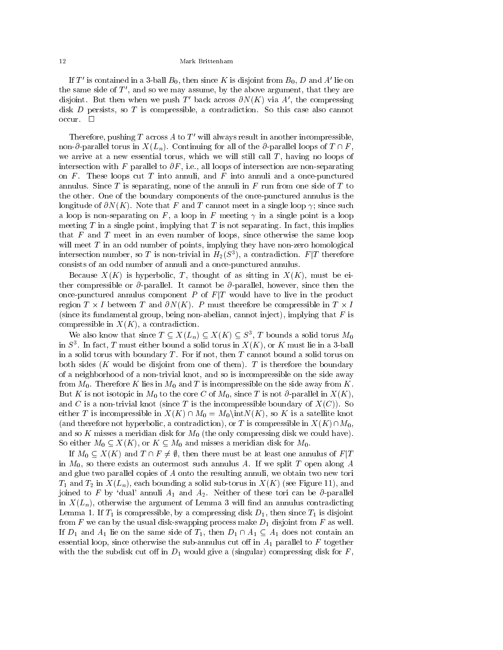If T' is contained in a 3-ball  $B_0$ , then since K is disjoint from  $B_0$ , D and A' lie on the same side of  $T'$ , and so we may assume, by the above argument, that they are disjoint. But then when we push T' back across  $\partial N(K)$  via A', the compressing disk D persists, so T is compressible, a contradiction. So this case also cannot  $occur.$   $\square$ 

Therefore, pushing  $T$  across  $A$  to  $T'$  will always result in another incompressible, non- $\partial$ -parallel torus in  $X(L_n)$ . Continuing for all of the  $\partial$ -parallel loops of  $T \cap F$ , we arrive at a new essential torus, which we will still call T, having no loops of intersection with F parallel to  $\partial F$ , i.e., all loops of intersection are non-separating on  $F$ . These loops cut  $T$  into annuli, and  $F$  into annuli and a once-punctured annulus. Since T is separating, none of the annuli in  $F$  run from one side of  $T$  to the other. One of the boundary components of the once-punctured annulus is the longitude of  $\partial N(K)$ . Note that F and T cannot meet in a single loop  $\gamma$ ; since such a loop is non-separating on  $F$ , a loop in  $F$  meeting  $\gamma$  in a single point is a loop meeting  $T$  in a single point, implying that  $T$  is not separating. In fact, this implies that  $F$  and  $T$  meet in an even number of loops, since otherwise the same loop will meet  $T$  in an odd number of points, implying they have non-zero homological intersection number, so T is non-trivial in  $H_2(S^*),$  a contradiction.  $F/I$  therefore consists of an odd number of annuli and a once-punctured annulus.

Because  $X(K)$  is hyperbolic, T, thought of as sitting in  $X(K)$ , must be either compressible or  $\partial$ -parallel. It cannot be  $\partial$ -parallel, however, since then the once-punctured annulus component  $P$  of  $F|T$  would have to live in the product region  $I \times I$  between  $I$  and  $\partial N(\mathbf{A})$ .  $P$  must therefore be compressible in  $I \times I$ (since its fundamental group, being non-abelian, cannot inject), implying that  $F$  is compressible in  $X(K)$ , a contradiction.

We also know that since  $I \subseteq A(L_n) \subseteq A(K) \subseteq S^2$ , T bounds a solid torus  $M_0$ in  $S^{\pm}$ . In fact, T must either bound a solid torus in  $A(X)$ , or  $K$  must lie in a 3-ball in a solid torus with boundary  $T$ . For if not, then  $T$  cannot bound a solid torus on both sides  $(K$  would be disjoint from one of them). T is therefore the boundary of a neighborhood of a non-trivial knot, and so is incompressible on the side away from  $M_0$ . Therefore K lies in  $M_0$  and T is incompressible on the side away from K. But K is not isotopic in  $M_0$  to the core C of  $M_0$ , since T is not  $\partial$ -parallel in  $X(K)$ , and C is a non-trivial knot (since T is the incompressible boundary of  $X(C)$ ). So either T is incompressible in  $X(K) \cap M_0 = M_0\setminus \text{int}N(K)$ , so K is a satellite knot (and therefore not hyperbolic, a contradiction), or T is compressible in  $X(K) \cap M_0$ , and so K misses a meridian disk for  $M_0$  (the only compressing disk we could have). So either  $M_0 \subseteq X(K)$ , or  $K \subseteq M_0$  and misses a meridian disk for  $M_0$ .

If  $M_0 \subseteq X(K)$  and  $T \cap F \neq \emptyset$ , then there must be at least one annulus of  $F|T$ in  $M_0$ , so there exists an outermost such annulus A. If we split T open along A and glue two parallel copies of A onto the resulting annuli, we obtain two new tori  $T_1$  and  $T_2$  in  $X(L_n)$ , each bounding a solid sub-torus in  $X(K)$  (see Figure 11), and joined to F by 'dual' annuli  $A_1$  and  $A_2$ . Neither of these tori can be  $\partial$ -parallel in  $X(L_n)$ , otherwise the argument of Lemma 3 will find an annulus contradicting Lemma 1. If  $T_1$  is compressible, by a compressing disk  $D_1$ , then since  $T_1$  is disjoint from F we can by the usual disk-swapping process make  $D_1$  disjoint from F as well. If  $D_1$  and  $A_1$  lie on the same side of  $T_1$ , then  $D_1 \cap A_1 \subseteq A_1$  does not contain an essential loop, since otherwise the sub-annulus cut off in  $A_1$  parallel to F together with the the subdisk cut off in  $D_1$  would give a (singular) compressing disk for F,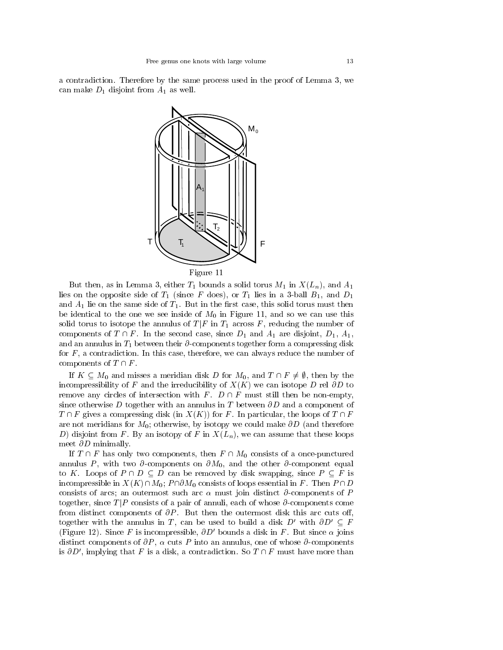a contradiction. Therefore by the same process used in the proof of Lemma 3, we can make  $D_1$  disjoint from  $A_1$  as well.



Figure 11

But then, as in Lemma 3, either  $T_1$  bounds a solid torus  $M_1$  in  $X(L_n)$ , and  $A_1$ lies on the opposite side of  $T_1$  (since F does), or  $T_1$  lies in a 3-ball  $B_1$ , and  $D_1$ and  $A_1$  lie on the same side of  $T_1$ . But in the first case, this solid torus must then be identical to the one we see inside of  $M_0$  in Figure 11, and so we can use this solid torus to isotope the annulus of  $T|F$  in  $T_1$  across F, reducing the number of components of  $T \cap F$ . In the second case, since  $D_1$  and  $A_1$  are disjoint,  $D_1$ ,  $A_1$ , and an annulus in  $T_1$  between their  $\partial$ -components together form a compressing disk for  $F$ , a contradiction. In this case, therefore, we can always reduce the number of components of  $T \cap F$ .<br>If  $K \subseteq M_0$  and misses a meridian disk D for  $M_0$ , and  $T \cap F \neq \emptyset$ , then by the

incompressibility of F and the irreducibility of  $X(K)$  we can isotope D rel  $\partial D$  to remove any circles of intersection with F.  $D \cap F$  must still then be non-empty, since otherwise D together with an annulus in T between  $\partial D$  and a component of  $T \cap F$  gives a compressing disk (in  $X(K)$ ) for F. In particular, the loops of  $T \cap F$ are not meridians for  $M_0$ ; otherwise, by isotopy we could make  $\partial D$  (and therefore D) disjoint from F. By an isotopy of F in  $X(L_n)$ , we can assume that these loops meet  $\partial D$  minimally.

If  $T \cap F$  has only two components, then  $F \cap M_0$  consists of a once-punctured annulus P, with two  $\partial$ -components on  $\partial M_0$ , and the other  $\partial$ -component equal to K. Loops of  $P \cap D \subseteq D$  can be removed by disk swapping, since  $P \subseteq F$  is incompressible in  $X(K) \cap M_0$ ;  $P \cap \partial M_0$  consists of loops essential in F. Then  $P \cap D$ consists of arcs; an outermost such arc  $\alpha$  must join distinct  $\partial$ -components of P together, since  $T/P$  consists of a pair of annuli, each of whose  $\partial$ -components come from distinct components of  $\partial P$ . But then the outermost disk this arc cuts off, together with the annulus in T, can be used to build a disk  $D'$  with  $\partial D' \subseteq F$ (Figure 12). Since F is incompressible,  $\partial D'$  bounds a disk in F. But since  $\alpha$  joins distinct components of  $\partial P$ ,  $\alpha$  cuts P into an annulus, one of whose  $\partial$ -components is  $\partial D'$ , implying that F is a disk, a contradiction. So  $T \cap F$  must have more than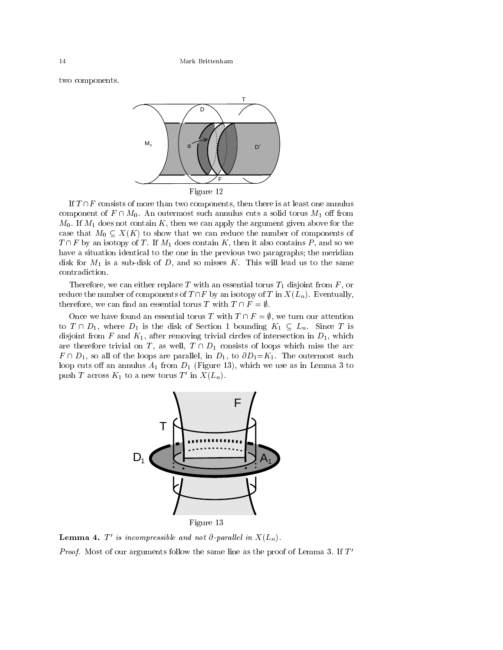two components.



If  $T \cap F$  consists of more than two components, then there is at least one annulus component of  $F \cap M_0$ . An outermost such annulus cuts a solid torus  $M_1$  off from  $M_0$ . If  $M_1$  does not contain K, then we can apply the argument given above for the case that  $M_0 \subseteq X(K)$  to show that we can reduce the number of components of  $T \cap F$  by an isotopy of T. If  $M_1$  does contain K, then it also contains P, and so we have a situation identical to the one in the previous two paragraphs; the meridian disk for  $M_1$  is a sub-disk of D, and so misses K. This will lead us to the same contradiction.

Therefore, we can either replace T with an essential torus  $T_1$  disjoint from F, or reduce the number of components of  $T \cap F$  by an isotopy of T in  $X(L_n)$ . Eventually, therefore, we can find an essential torus T with  $T \cap F = \emptyset$ .

Once we have found an essential torus T with  $T \cap F = \emptyset$ , we turn our attention to  $T \cap D_1$ , where  $D_1$  is the disk of Section 1 bounding  $K_1 \subseteq L_n$ . Since T is disjoint from F and  $K_1$ , after removing trivial circles of intersection in  $D_1$ , which are therefore trivial on T, as well,  $T \cap D_1$  consists of loops which miss the arc  $F \cap D_1$ , so all of the loops are parallel, in  $D_1$ , to  $\partial D_1=K_1$ . The outermost such loop cuts off an annulus  $A_1$  from  $D_1$  (Figure 13), which we use as in Lemma 3 to push T across  $K_1$  to a new torus T' in  $X(L_n)$ .



**Lemma 4.**  $T'$  is incompressible and not  $\partial$ -parallel in  $X(L_n)$ .

*Proof.* Most of our arguments follow the same line as the proof of Lemma 3. If  $I$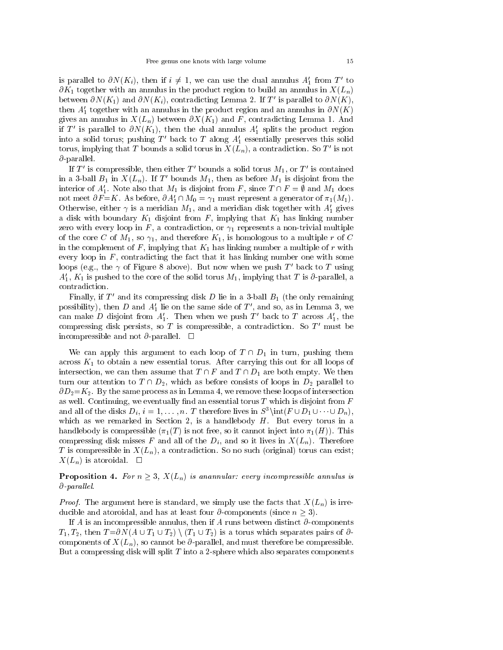is parallel to  $\partial N(K_i)$ , then if  $i \neq 1$ , we can use the dual annulus  $A'_1$  from T' to  $\partial K_1$  together with an annulus in the product region to build an annulus in  $X(L_n)$ between  $\partial N(K_1)$  and  $\partial N(K_i)$ , contradicting Lemma 2. If T' is parallel to  $\partial N(K)$ , then  $A_1'$  together with an annulus in the product region and an annulus in  $\partial N(K)$ gives an annulus in  $X(L_n)$  between  $\partial X(K_1)$  and F, contradicting Lemma 1. And if T' is parallel to  $\partial N(K_1)$ , then the dual annulus  $A'_1$  splits the product region into a solid torus; pushing  $T'$  back to T along  $A'_1$  essentially preserves this solid torus, implying that T bounds a solid torus in  $X(L_n)$ , a contradiction. So T' is not  $\partial$ -parallel.

If T' is compressible, then either T' bounds a solid torus  $M_1$ , or T' is contained in a 3-ball  $B_1$  in  $X(L_n)$ . If T' bounds  $M_1$ , then as before  $M_1$  is disjoint from the interior of  $A'_1$ . Note also that  $M_1$  is disjoint from F, since  $T \cap F = \emptyset$  and  $M_1$  does not meet  $\partial F = K$ . As before,  $\partial A_1' \cap M_0 = \gamma_1$  must represent a generator of  $\pi_1(M_1)$ . Otherwise, either  $\gamma$  is a meridian  $M_1$ , and a meridian disk together with  $A'_1$  gives a disk with boundary  $K_1$  disjoint from F, implying that  $K_1$  has linking number zero with every loop in F, a contradiction, or  $\gamma_1$  represents a non-trivial multiple of the core C of  $M_1$ , so  $\gamma_1$ , and therefore  $K_1$ , is homologous to a multiple r of C in the complement of  $F$ , implying that  $K_1$  has linking number a multiple of  $r$  with every loop in  $F$ , contradicting the fact that it has linking number one with some loops (e.g., the  $\gamma$  of Figure 8 above). But now when we push T' back to T using  $A_1, K_1$  is pushed to the core of the solid torus  $M_1$ , implying that T is  $\partial$ -parallel, a contradiction.

Finally, if  $T'$  and its compressing disk D lie in a 3-ball  $B_1$  (the only remaining possibility), then  $D$  and  $A'_1$  lie on the same side of  $T'$ , and so, as in Lemma 3, we can make D disjoint from  $A_1'$ . Then when we push T' back to T across  $A_1'$ , the compressing disk persists, so T is compressible, a contradiction. So  $T'$  must be incompressible and not  $\partial$ -parallel.  $\Box$ 

We can apply this argument to each loop of  $T \cap D_1$  in turn, pushing them across  $K_1$  to obtain a new essential torus. After carrying this out for all loops of intersection, we can then assume that  $T \cap F$  and  $T \cap D_1$  are both empty. We then turn our attention to  $T \cap D_2$ , which as before consists of loops in  $D_2$  parallel to  $\partial D_2 = K_2$ . By the same process as in Lemma 4, we remove these loops of intersection as well. Continuing, we eventually find an essential torus  $T$  which is disjoint from  $F$ and all of the disks  $D_i$ ,  $i = 1, \ldots, n$ . T therefore lives in  $S^3\$ int( $F \cup D_1 \cup \cdots \cup D_n$ ), which as we remarked in Section 2, is a handlebody  $H$ . But every torus in a handlebody is compressible  $(\pi_1(T)$  is not free, so it cannot inject into  $\pi_1(H)$ ). This compressing disk misses F and all of the  $D_i$ , and so it lives in  $X(L_n)$ . Therefore T is compressible in  $X(L_n)$ , a contradiction. So no such (original) torus can exist;  $X(L_n)$  is atoroidal.  $\square$ 

**Proposition 4.** For  $n > 3$ ,  $X(L_n)$  is anannular: every incompressible annulus is  $\partial$ -parallel.

 $P$ ring). The argument here is standard, we simply use that facts that  $\mathcal{P}(\mathcal{D})$  is irreducible and atoroidal, and has at least four  $\partial$ -components (since  $n \geq 3$ ).

If A is an incompressible annulus, then if A runs between distinct  $\partial$ -components  $T_1, T_2$ , then  $T = \partial N(A \cup T_1 \cup T_2) \setminus (T_1 \cup T_2)$  is a torus which separates pairs of  $\partial$ components of  $X(L_n)$ , so cannot be  $\partial$ -parallel, and must therefore be compressible. But a compressing disk will split  $T$  into a 2-sphere which also separates components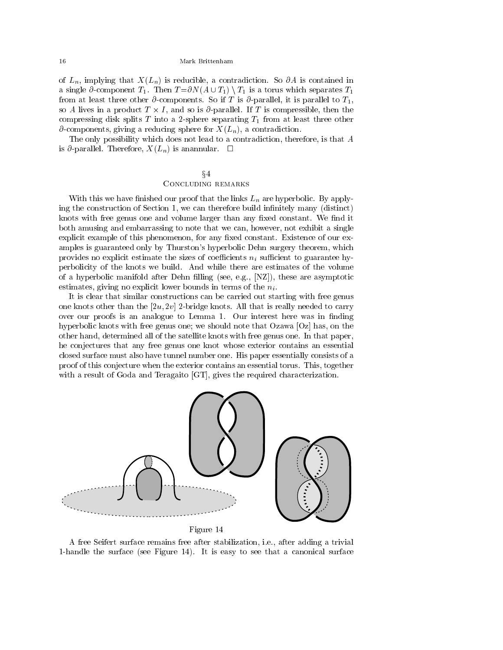of  $L_n$ , implying that  $X(L_n)$  is reducible, a contradiction. So  $\partial A$  is contained in a single  $\partial$ -component  $T_1$ . Then  $T = \partial N(A \cup T_1) \setminus T_1$  is a torus which separates  $T_1$ so A lives in a product  $T \times I$ , and so is  $\partial$ -parallel. If T is compressible, then the compressing disk splits T into a 2-sphere separating  $T_1$  from at least three other  $\partial$ -components, giving a reducing sphere for  $X(L_n)$ , a contradiction.

The only possibility which does not lead to a contradiction, therefore, is that A is  $\partial$ -parallel. Therefore,  $X(L_n)$  is anannular.  $\Box$ 

### $\S4$ Concluding remarks

With this we have finished our proof that the links  $L_n$  are hyperbolic. By applying the construction of Section 1, we can therefore build innitely many (distinct) knots with free genus one and volume larger than any fixed constant. We find it both amusing and embarrassing to note that we can, however, not exhibit a single explicit example of this phenomenon, for any fixed constant. Existence of our examples is guaranteed only by Thurston's hyperbolic Dehn surgery theorem, which provides no explicit estimate the sizes of coefficients  $n_i$  sufficient to guarantee hyperbolicity of the knots we build. And while there are estimates of the volume of a hyperbolic manifold after Dehn filling (see, e.g.,  $[NZ]$ ), these are asymptotic estimates, giving no explicit lower bounds in terms of the  $n_i$ .

It is clear that similar constructions can be carried out starting with free genus one knots other than the  $[2u, 2v]$  2-bridge knots. All that is really needed to carry over our proofs is an analogue to Lemma 1. Our interest here was in finding hyperbolic knots with free genus one; we should note that Ozawa [Oz] has, on the other hand, determined all of the satellite knots with free genus one. In that paper, he conjectures that any free genus one knot whose exterior contains an essential closed surface must also have tunnel number one. His paper essentially consists of a proof of this conjecture when the exterior contains an essential torus. This, together with a result of Goda and Teragaito [GT], gives the required characterization.



A free Seifert surface remains free after stabilization, i.e., after adding a trivial 1-handle the surface (see Figure 14). It is easy to see that a canonical surface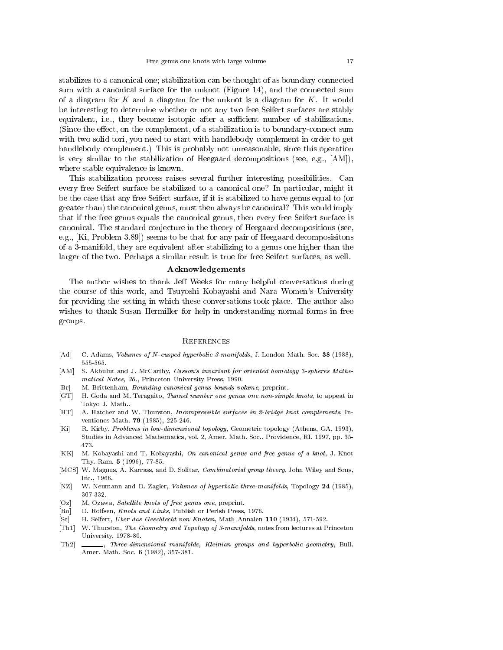stabilizes to a canonical one; stabilization can be thought of as boundary connected sum with a canonical surface for the unknot (Figure 14), and the connected sum of a diagram for  $K$  and a diagram for the unknot is a diagram for  $K$ . It would be interesting to determine whether or not any two free Seifert surfaces are stably equivalent, i.e., they become isotopic after a sufficient number of stabilizations. (Since the effect, on the complement, of a stabilization is to boundary-connect sum with two solid tori, you need to start with handlebody complement in order to get handlebody complement.) This is probably not unreasonable, since this operation is very similar to the stabilization of Heegaard decompositions (see, e.g.,  $[AM]$ ), where stable equivalence is known.

This stabilization process raises several further interesting possibilities. Can every free Seifert surface be stabilized to a canonical one? In particular, might it be the case that any free Seifert surface, if it is stabilized to have genus equal to (or greater than) the canonical genus, must then always be canonical? This would imply that if the free genus equals the canonical genus, then every free Seifert surface is canonical. The standard conjecture in the theory of Heegaard decompositions (see, e.g., [Ki, Problem 3.89]) seems to be that for any pair of Heegaard decomposisitons of a 3-manifold, they are equivalent after stabilizing to a genus one higher than the larger of the two. Perhaps a similar result is true for free Seifert surfaces, as well.

#### Acknowledgements

The author wishes to thank Jeff Weeks for many helpful conversations during the course of this work, and Tsuyoshi Kobayashi and Nara Women's University for providing the setting in which these conversations took place. The author also wishes to thank Susan Hermiller for help in understanding normal forms in free groups.

#### **REFERENCES**

- [Ad] C. Adams, Volumes of <sup>N</sup>-cusped hyperbolic 3-manifolds, J. London Math. Soc. <sup>38</sup> (1988), 555-565.
- [AM] S. Akbulut and J. McCarthy, *Casson's invariant for oriented homology 3-spheres Mathe*matical Notes, 36., Princeton University Press, 1990.
- [Br] M. Brittenham, *Bounding canonical genus bounds volume*, preprint.
- [GT] H. Goda and M. Teragaito, Tunnel number one genus one non-simple knots, to appeat in Tokyo J. Math..
- [HT] A. Hatcher and W. Thurston, *Incompressible surfaces in 2-bridge knot complements*, Inventiones Math. <sup>79</sup> (1985), 225-246.
- [Ki] R. Kirby, Problems in low-dimensional topology, Geometric topology (Athens, GA, 1993), Studies in Advanced Mathematics, vol. 2, Amer. Math. Soc., Providence, RI, 1997, pp. 35- 473.
- [KK] M. Kobayashi and T. Kobayashi, On canonical genus and free genus of a knot, J. Knot Thy. Ram. <sup>5</sup> (1996), 77-85.
- [MCS] W. Magnus, A. Karrass, and D. Solitar, Combinatorial group theory, John Wiley and Sons, Inc., 1966.
- [NZ] W. Neumann and D. Zagier, Volumes of hyperbolic three-manifolds, Topology <sup>24</sup> (1985), 307-332.
- [Oz] M. Ozawa, *Satellite knots of free genus one*, preprint.
- [Ro] D. Rolfsen, Knots and Links, Publish or Perish Press, 1976.
- [Se] H. Seifert, Über das Geschlecht von Knoten, Math Annalen 110 (1934), 571-592.
- [Th1] W. Thurston, The Geometry and Topology of 3-manifolds, notes from lectures at Princeton University, 1978-80. University, 1978-80.
- [Th2]  $\_\_\_\_\_\_\_\.\$  Three-dimensional manifolds, Kleinian groups and hyperbolic geometry, Bull. Amer. Math. Soc. <sup>6</sup> (1982), 357-381.